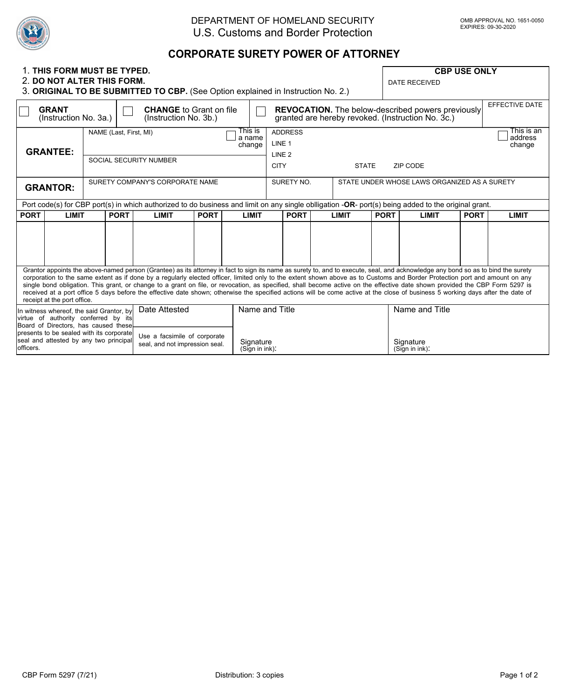

## DEPARTMENT OF HOMELAND SECURITY U.S. Customs and Border Protection

## **CORPORATE SURETY POWER OF ATTORNEY**

| 1. THIS FORM MUST BE TYPED.<br>2. DO NOT ALTER THIS FORM.<br>3. ORIGINAL TO BE SUBMITTED TO CBP. (See Option explained in Instruction No. 2.)                                                                                                                                                                                                                                                                                                                                                                                                                                                                                                                                                                                                                     |              |                                                                                 |             |                                                                |             |              |                                                                                                                                               |                                              |             | <b>CBP USE ONLY</b><br><b>DATE RECEIVED</b> |             |                |  |
|-------------------------------------------------------------------------------------------------------------------------------------------------------------------------------------------------------------------------------------------------------------------------------------------------------------------------------------------------------------------------------------------------------------------------------------------------------------------------------------------------------------------------------------------------------------------------------------------------------------------------------------------------------------------------------------------------------------------------------------------------------------------|--------------|---------------------------------------------------------------------------------|-------------|----------------------------------------------------------------|-------------|--------------|-----------------------------------------------------------------------------------------------------------------------------------------------|----------------------------------------------|-------------|---------------------------------------------|-------------|----------------|--|
| <b>GRANT</b><br>(Instruction No. 3a.)                                                                                                                                                                                                                                                                                                                                                                                                                                                                                                                                                                                                                                                                                                                             |              |                                                                                 |             | <b>CHANGE</b> to Grant on file<br>(Instruction No. 3b.)        |             |              | <b>REVOCATION.</b> The below-described powers previously<br>granted are hereby revoked. (Instruction No. 3c.)                                 |                                              |             |                                             |             | EFFECTIVE DATE |  |
| <b>GRANTEE:</b>                                                                                                                                                                                                                                                                                                                                                                                                                                                                                                                                                                                                                                                                                                                                                   |              | This is<br>NAME (Last, First, MI)<br>a name<br>change<br>SOCIAL SECURITY NUMBER |             |                                                                |             |              | This is an<br><b>ADDRESS</b><br>address<br>LINE <sub>1</sub><br>change<br>LINE <sub>2</sub><br><b>CITY</b><br><b>STATE</b><br><b>ZIP CODE</b> |                                              |             |                                             |             |                |  |
| <b>GRANTOR:</b>                                                                                                                                                                                                                                                                                                                                                                                                                                                                                                                                                                                                                                                                                                                                                   |              | SURETY COMPANY'S CORPORATE NAME                                                 |             |                                                                |             |              | SURETY NO.                                                                                                                                    | STATE UNDER WHOSE LAWS ORGANIZED AS A SURETY |             |                                             |             |                |  |
| Port code(s) for CBP port(s) in which authorized to do business and limit on any single obligation -OR- port(s) being added to the original grant.                                                                                                                                                                                                                                                                                                                                                                                                                                                                                                                                                                                                                |              |                                                                                 |             |                                                                |             |              |                                                                                                                                               |                                              |             |                                             |             |                |  |
| <b>PORT</b>                                                                                                                                                                                                                                                                                                                                                                                                                                                                                                                                                                                                                                                                                                                                                       | <b>LIMIT</b> |                                                                                 | <b>PORT</b> | <b>LIMIT</b>                                                   | <b>PORT</b> | <b>LIMIT</b> | <b>PORT</b>                                                                                                                                   | <b>LIMIT</b>                                 | <b>PORT</b> | <b>LIMIT</b>                                | <b>PORT</b> | <b>LIMIT</b>   |  |
|                                                                                                                                                                                                                                                                                                                                                                                                                                                                                                                                                                                                                                                                                                                                                                   |              |                                                                                 |             |                                                                |             |              |                                                                                                                                               |                                              |             |                                             |             |                |  |
| Grantor appoints the above-named person (Grantee) as its attorney in fact to sign its name as surety to, and to execute, seal, and acknowledge any bond so as to bind the surety<br>corporation to the same extent as if done by a regularly elected officer, limited only to the extent shown above as to Customs and Border Protection port and amount on any<br>single bond obligation. This grant, or change to a grant on file, or revocation, as specified, shall become active on the effective date shown provided the CBP Form 5297 is<br>received at a port office 5 days before the effective date shown; otherwise the specified actions will be come active at the close of business 5 working days after the date of<br>receipt at the port office. |              |                                                                                 |             |                                                                |             |              |                                                                                                                                               |                                              |             |                                             |             |                |  |
| Date Attested<br>In witness whereof, the said Grantor, by<br>virtue of authority conferred by its<br>Board of Directors, has caused these<br>presents to be sealed with its corporate                                                                                                                                                                                                                                                                                                                                                                                                                                                                                                                                                                             |              |                                                                                 |             |                                                                |             |              | Name and Title                                                                                                                                |                                              |             | Name and Title                              |             |                |  |
| seal and attested by any two principal<br>officers.                                                                                                                                                                                                                                                                                                                                                                                                                                                                                                                                                                                                                                                                                                               |              |                                                                                 |             | Use a facsimile of corporate<br>seal, and not impression seal. |             |              | Signature<br>(Sign in ink):                                                                                                                   |                                              |             | Signature<br>(Sign in ink):                 |             |                |  |